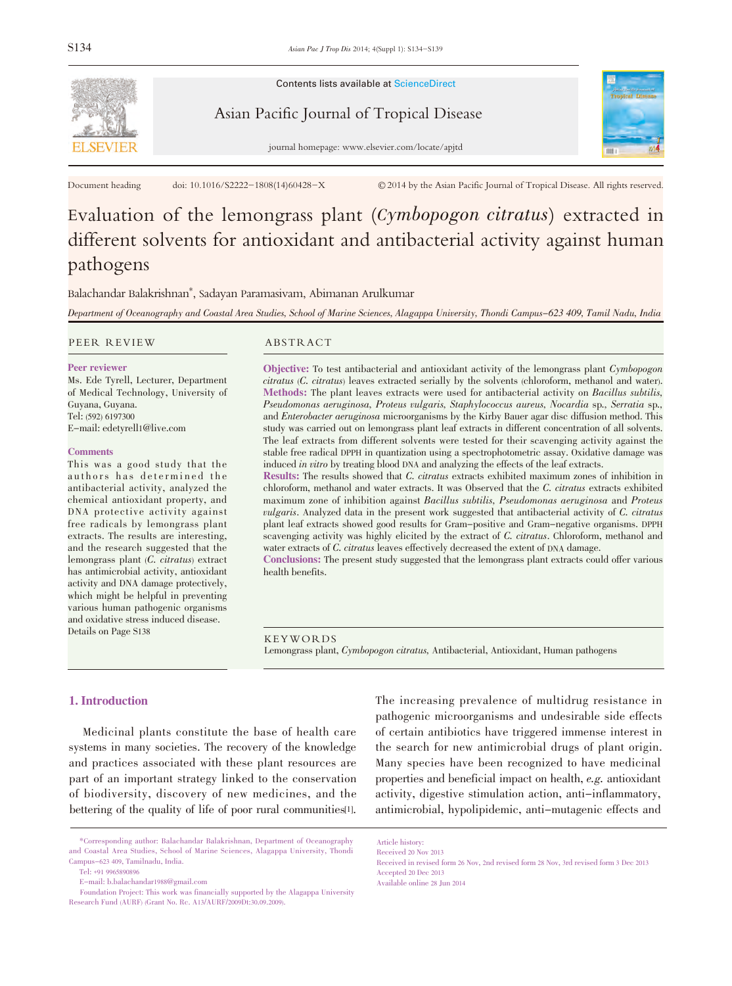

Contents lists available at ScienceDirect

# Asian Pacific Journal of Tropical Disease



journal homepage: www.elsevier.com/locate/apjtd

Document heading doi:  $10.1016$ /S2222-1808(14)60428-X © 2014 by the Asian Pacific Journal of Tropical Disease. All rights reserved.

# Evaluation of the lemongrass plant (Cymbopogon citratus) extracted in different solvents for antioxidant and antibacterial activity against human pathogens

Balachandar Balakrishnan\* , Sadayan Paramasivam, Abimanan Arulkumar

Department of Oceanography and Coastal Area Studies, School of Marine Sciences, Alagappa University, Thondi Campus-623 409, Tamil Nadu, India

PEER REVIEW ABSTRACT

#### Peer reviewer

Ms. Ede Tyrell, Lecturer, Department of Medical Technology, University of Guyana, Guyana. Tel: (592) 6197300 E-mail: edetyrell1@live.com

#### **Comments**

This was a good study that the authors has determined the antibacterial activity, analyzed the chemical antioxidant property, and DNA protective activity against free radicals by lemongrass plant extracts. The results are interesting, and the research suggested that the lemongrass plant (C. citratus) extract has antimicrobial activity, antioxidant activity and DNA damage protectively, which might be helpful in preventing various human pathogenic organisms and oxidative stress induced disease. Details on Page S138

Objective: To test antibacterial and antioxidant activity of the lemongrass plant Cymbopogon citratus (C. citratus) leaves extracted serially by the solvents (chloroform, methanol and water). Methods: The plant leaves extracts were used for antibacterial activity on Bacillus subtilis, Pseudomonas aeruginosa, Proteus vulgaris, Staphylococcus aureus, Nocardia sp., Serratia sp., and Enterobacter aeruginosa microorganisms by the Kirby Bauer agar disc diffusion method. This study was carried out on lemongrass plant leaf extracts in different concentration of all solvents. The leaf extracts from different solvents were tested for their scavenging activity against the stable free radical DPPH in quantization using a spectrophotometric assay. Oxidative damage was induced in vitro by treating blood DNA and analyzing the effects of the leaf extracts.

Results: The results showed that C. citratus extracts exhibited maximum zones of inhibition in chloroform, methanol and water extracts. It was Observed that the C. citratus extracts exhibited maximum zone of inhibition against Bacillus subtilis, Pseudomonas aeruginosa and Proteus vulgaris. Analyzed data in the present work suggested that antibacterial activity of C. citratus plant leaf extracts showed good results for Gram-positive and Gram-negative organisms. DPPH scavenging activity was highly elicited by the extract of C. citratus. Chloroform, methanol and water extracts of C. citratus leaves effectively decreased the extent of DNA damage.

Conclusions: The present study suggested that the lemongrass plant extracts could offer various health benefits.

KEYWORDS Lemongrass plant, Cymbopogon citratus, Antibacterial, Antioxidant, Human pathogens

# 1. Introduction

 Medicinal plants constitute the base of health care systems in many societies. The recovery of the knowledge and practices associated with these plant resources are part of an important strategy linked to the conservation of biodiversity, discovery of new medicines, and the bettering of the quality of life of poor rural communities[1].

The increasing prevalence of multidrug resistance in pathogenic microorganisms and undesirable side effects of certain antibiotics have triggered immense interest in the search for new antimicrobial drugs of plant origin. Many species have been recognized to have medicinal properties and beneficial impact on health, e.g. antioxidant activity, digestive stimulation action, anti-inflammatory, antimicrobial, hypolipidemic, anti-mutagenic effects and

 <sup>\*</sup>Corresponding author: Balachandar Balakrishnan, Department of Oceanography and Coastal Area Studies, School of Marine Sciences, Alagappa University, Thondi Campus-623 409, Tamilnadu, India.

Tel: +91 9965890896

E-mail: b.balachandar1988@gmail.com

Foundation Project: This work was financially supported by the Alagappa University Research Fund (AURF) (Grant No. Rc. A13/AURF/2009Dt:30.09.2009).

Article history:

Received 20 Nov 2013

Received in revised form 26 Nov, 2nd revised form 28 Nov, 3rd revised form 3 Dec 2013 Accepted 20 Dec 2013 Available online 28 Jun 2014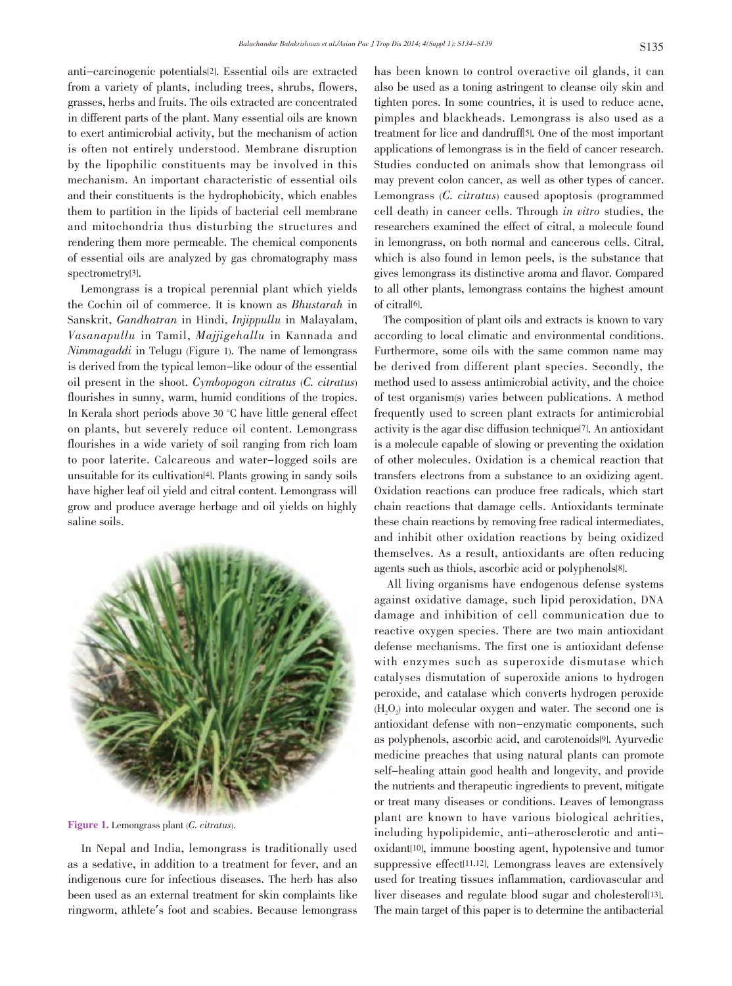anti-carcinogenic potentials[2]. Essential oils are extracted from a variety of plants, including trees, shrubs, flowers, grasses, herbs and fruits. The oils extracted are concentrated in different parts of the plant. Many essential oils are known to exert antimicrobial activity, but the mechanism of action is often not entirely understood. Membrane disruption by the lipophilic constituents may be involved in this mechanism. An important characteristic of essential oils and their constituents is the hydrophobicity, which enables them to partition in the lipids of bacterial cell membrane and mitochondria thus disturbing the structures and rendering them more permeable. The chemical components of essential oils are analyzed by gas chromatography mass spectrometry[3].

 Lemongrass is a tropical perennial plant which yields the Cochin oil of commerce. It is known as Bhustarah in Sanskrit, Gandhatran in Hindi, Injippullu in Malayalam, Vasanapullu in Tamil, Majjigehallu in Kannada and Nimmagaddi in Telugu (Figure 1). The name of lemongrass is derived from the typical lemon-like odour of the essential oil present in the shoot. Cymbopogon citratus (C. citratus) flourishes in sunny, warm, humid conditions of the tropics. In Kerala short periods above 30 °C have little general effect on plants, but severely reduce oil content. Lemongrass flourishes in a wide variety of soil ranging from rich loam to poor laterite. Calcareous and water-logged soils are unsuitable for its cultivation[4]. Plants growing in sandy soils have higher leaf oil yield and citral content. Lemongrass will grow and produce average herbage and oil yields on highly saline soils.



Figure 1. Lemongrass plant (C. citratus).

 In Nepal and India, lemongrass is traditionally used as a sedative, in addition to a treatment for fever, and an indigenous cure for infectious diseases. The herb has also been used as an external treatment for skin complaints like ringworm, athlete's foot and scabies. Because lemongrass

has been known to control overactive oil glands, it can also be used as a toning astringent to cleanse oily skin and tighten pores. In some countries, it is used to reduce acne, pimples and blackheads. Lemongrass is also used as a treatment for lice and dandruff[5]. One of the most important applications of lemongrass is in the field of cancer research. Studies conducted on animals show that lemongrass oil may prevent colon cancer, as well as other types of cancer. Lemongrass (C. citratus) caused apoptosis (programmed cell death) in cancer cells. Through in vitro studies, the researchers examined the effect of citral, a molecule found in lemongrass, on both normal and cancerous cells. Citral, which is also found in lemon peels, is the substance that gives lemongrass its distinctive aroma and flavor. Compared to all other plants, lemongrass contains the highest amount of citral[6].

 The composition of plant oils and extracts is known to vary according to local climatic and environmental conditions. Furthermore, some oils with the same common name may be derived from different plant species. Secondly, the method used to assess antimicrobial activity, and the choice of test organism(s) varies between publications. A method frequently used to screen plant extracts for antimicrobial activity is the agar disc diffusion technique[7]. An antioxidant is a molecule capable of slowing or preventing the oxidation of other molecules. Oxidation is a chemical reaction that transfers electrons from a substance to an oxidizing agent. Oxidation reactions can produce free radicals, which start chain reactions that damage cells. Antioxidants terminate these chain reactions by removing free radical intermediates, and inhibit other oxidation reactions by being oxidized themselves. As a result, antioxidants are often reducing agents such as thiols, ascorbic acid or polyphenols[8].

 All living organisms have endogenous defense systems against oxidative damage, such lipid peroxidation, DNA damage and inhibition of cell communication due to reactive oxygen species. There are two main antioxidant defense mechanisms. The first one is antioxidant defense with enzymes such as superoxide dismutase which catalyses dismutation of superoxide anions to hydrogen peroxide, and catalase which converts hydrogen peroxide  $(H_2O_2)$  into molecular oxygen and water. The second one is antioxidant defense with non-enzymatic components, such as polyphenols, ascorbic acid, and carotenoids[9]. Ayurvedic medicine preaches that using natural plants can promote self-healing attain good health and longevity, and provide the nutrients and therapeutic ingredients to prevent, mitigate or treat many diseases or conditions. Leaves of lemongrass plant are known to have various biological achrities, including hypolipidemic, anti-atherosclerotic and antioxidant[10], immune boosting agent, hypotensive and tumor suppressive effect<sup>[11,12]</sup>. Lemongrass leaves are extensively used for treating tissues inflammation, cardiovascular and liver diseases and regulate blood sugar and cholesterol<sup>[13]</sup>. The main target of this paper is to determine the antibacterial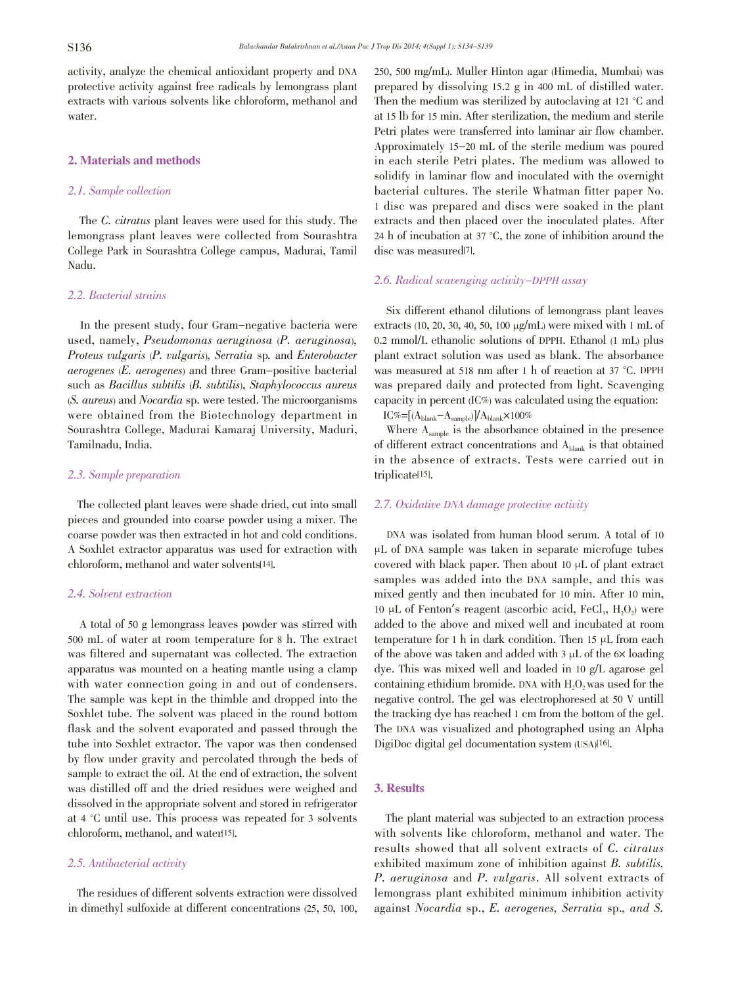activity, analyze the chemical antioxidant property and DNA protective activity against free radicals by lemongrass plant extracts with various solvents like chloroform, methanol and water.

#### 2. Materials and methods

# 2.1. Sample collection

 The C. citratus plant leaves were used for this study. The lemongrass plant leaves were collected from Sourashtra College Park in Sourashtra College campus, Madurai, Tamil Nadu.

# 2.2. Bacterial strains

 In the present study, four Gram-negative bacteria were used, namely, Pseudomonas aeruginosa (P. aeruginosa), Proteus vulgaris (P. vulgaris), Serratia sp. and Enterobacter aerogenes (E. aerogenes) and three Gram-positive bacterial such as Bacillus subtilis (B. subtilis), Staphylococcus aureus (S. aureus) and Nocardia sp. were tested. The microorganisms were obtained from the Biotechnology department in Sourashtra College, Madurai Kamaraj University, Maduri, Tamilnadu, India.

#### 2.3. Sample preparation

 The collected plant leaves were shade dried, cut into small pieces and grounded into coarse powder using a mixer. The coarse powder was then extracted in hot and cold conditions. A Soxhlet extractor apparatus was used for extraction with chloroform, methanol and water solvents[14].

# 2.4. Solvent extraction

 A total of 50 g lemongrass leaves powder was stirred with 500 mL of water at room temperature for 8 h. The extract was filtered and supernatant was collected. The extraction apparatus was mounted on a heating mantle using a clamp with water connection going in and out of condensers. The sample was kept in the thimble and dropped into the Soxhlet tube. The solvent was placed in the round bottom flask and the solvent evaporated and passed through the tube into Soxhlet extractor. The vapor was then condensed by flow under gravity and percolated through the beds of sample to extract the oil. At the end of extraction, the solvent was distilled off and the dried residues were weighed and dissolved in the appropriate solvent and stored in refrigerator at 4 °C until use. This process was repeated for 3 solvents chloroform, methanol, and water[15].

# 2.5. Antibacterial activity

 The residues of different solvents extraction were dissolved in dimethyl sulfoxide at different concentrations (25, 50, 100,

250, 500 mg/mL). Muller Hinton agar (Himedia, Mumbai) was prepared by dissolving 15.2 g in 400 mL of distilled water. Then the medium was sterilized by autoclaving at 121 °C and at 15 lb for 15 min. After sterilization, the medium and sterile Petri plates were transferred into laminar air flow chamber. Approximately 15-20 mL of the sterile medium was poured in each sterile Petri plates. The medium was allowed to solidify in laminar flow and inoculated with the overnight bacterial cultures. The sterile Whatman fitter paper No. 1 disc was prepared and discs were soaked in the plant extracts and then placed over the inoculated plates. After 24 h of incubation at 37 °C, the zone of inhibition around the disc was measured<sup>[7]</sup>.

## 2.6. Radical scavenging activity-DPPH assay

 Six different ethanol dilutions of lemongrass plant leaves extracts (10, 20, 30, 40, 50, 100  $\mu$ g/mL) were mixed with 1 mL of 0.2 mmol/L ethanolic solutions of DPPH. Ethanol (1 mL) plus plant extract solution was used as blank. The absorbance was measured at 518 nm after 1 h of reaction at 37 °C. DPPH was prepared daily and protected from light. Scavenging capacity in percent (IC%) was calculated using the equation:

 $IC\%=[(A_{blank}-A_{sample})]/A_{blank}\times100\%$ 

 Where Asample is the absorbance obtained in the presence of different extract concentrations and Ablank is that obtained in the absence of extracts. Tests were carried out in triplicate[15].

# 2.7. Oxidative DNA damage protective activity

 DNA was isolated from human blood serum. A total of 10 µL of DNA sample was taken in separate microfuge tubes covered with black paper. Then about 10 µL of plant extract samples was added into the DNA sample, and this was mixed gently and then incubated for 10 min. After 10 min, 10 µL of Fenton's reagent (ascorbic acid, FeCl<sub>3</sub>, H<sub>2</sub>O<sub>2</sub>) were added to the above and mixed well and incubated at room temperature for 1 h in dark condition. Then 15 µL from each of the above was taken and added with  $3 \mu L$  of the  $6 \times$  loading dye. This was mixed well and loaded in 10 g/L agarose gel containing ethidium bromide. DNA with  $H<sub>2</sub>O<sub>2</sub>$  was used for the negative control. The gel was electrophoresed at 50 V untill the tracking dye has reached 1 cm from the bottom of the gel. The DNA was visualized and photographed using an Alpha DigiDoc digital gel documentation system (USA)[16].

# 3. Results

 The plant material was subjected to an extraction process with solvents like chloroform, methanol and water. The results showed that all solvent extracts of C. citratus exhibited maximum zone of inhibition against B. subtilis, P. aeruginosa and P. vulgaris. All solvent extracts of lemongrass plant exhibited minimum inhibition activity against Nocardia sp., E. aerogenes, Serratia sp., and S.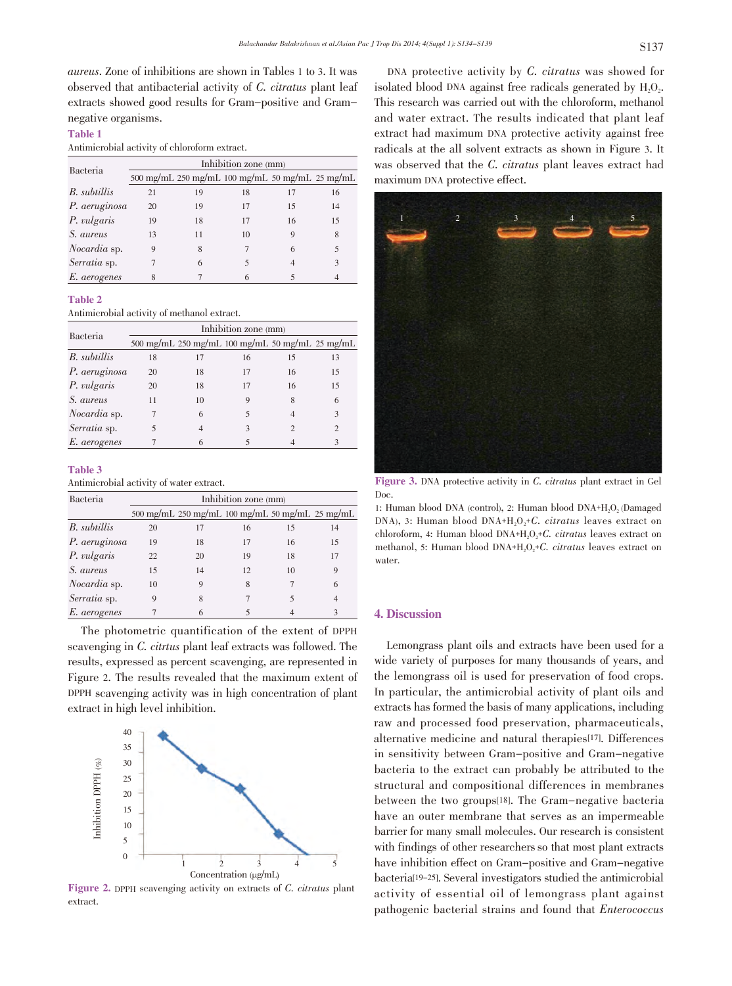aureus. Zone of inhibitions are shown in Tables 1 to 3. It was observed that antibacterial activity of C. citratus plant leaf extracts showed good results for Gram-positive and Gramnegative organisms.

# Table 1

Antimicrobial activity of chloroform extract.

| Bacteria            | Inhibition zone (mm) |                                                 |    |    |               |  |
|---------------------|----------------------|-------------------------------------------------|----|----|---------------|--|
|                     |                      | 500 mg/mL 250 mg/mL 100 mg/mL 50 mg/mL 25 mg/mL |    |    |               |  |
| B. subtillis        | 21                   | 19                                              | 18 | 17 | 16            |  |
| P. aeruginosa       | 20                   | 19                                              | 17 | 15 | 14            |  |
| P. vulgaris         | 19                   | 18                                              | 17 | 16 | 15            |  |
| S. aureus           | 13                   | 11                                              | 10 | 9  | 8             |  |
| <i>Nocardia</i> sp. | 9                    | 8                                               | 7  | 6  | 5             |  |
| Serratia sp.        | 7                    | 6                                               | 5  | 4  | $\mathcal{L}$ |  |
| E. aerogenes        | 8                    |                                                 | 6  |    |               |  |

#### Table 2

Antimicrobial activity of methanol extract.

| Bacteria            | Inhibition zone (mm) |                                                 |    |    |    |  |
|---------------------|----------------------|-------------------------------------------------|----|----|----|--|
|                     |                      | 500 mg/mL 250 mg/mL 100 mg/mL 50 mg/mL 25 mg/mL |    |    |    |  |
| <b>B.</b> subtillis | 18                   | 17                                              | 16 | 15 | 13 |  |
| P. aeruginosa       | 20                   | 18                                              | 17 | 16 | 15 |  |
| P. vulgaris         | 20                   | 18                                              | 17 | 16 | 15 |  |
| S. aureus           | 11                   | 10                                              | 9  | 8  | 6  |  |
| <i>Nocardia</i> sp. |                      | 6                                               | 5  |    | 3  |  |
| Serratia sp.        | 5                    | 4                                               | 3  | 2  |    |  |
| E. aerogenes        |                      | 6                                               |    |    |    |  |

# Table 3

Antimicrobial activity of water extract.

| Bacteria            | Inhibition zone (mm) |                                                 |    |    |    |  |  |
|---------------------|----------------------|-------------------------------------------------|----|----|----|--|--|
|                     |                      | 500 mg/mL 250 mg/mL 100 mg/mL 50 mg/mL 25 mg/mL |    |    |    |  |  |
| B. subtillis        | 20                   | 17                                              | 16 | 15 | 14 |  |  |
| P. aeruginosa       | 19                   | 18                                              | 17 | 16 | 15 |  |  |
| P. vulgaris         | 22                   | 20                                              | 19 | 18 | 17 |  |  |
| S. aureus           | 15                   | 14                                              | 12 | 10 | 9  |  |  |
| <i>Nocardia</i> sp. | 10                   | 9                                               | 8  | 7  | 6  |  |  |
| Serratia sp.        | 9                    | 8                                               | 7  | 5  | 4  |  |  |
| E. aerogenes        |                      | 6                                               | 5  |    | 3  |  |  |

 The photometric quantification of the extent of DPPH scavenging in C. citrtus plant leaf extracts was followed. The results, expressed as percent scavenging, are represented in Figure 2. The results revealed that the maximum extent of DPPH scavenging activity was in high concentration of plant extract in high level inhibition.



Figure 2. DPPH scavenging activity on extracts of C. citratus plant extract.

DNA protective activity by C. citratus was showed for isolated blood DNA against free radicals generated by H<sub>2</sub>O<sub>2</sub>. This research was carried out with the chloroform, methanol and water extract. The results indicated that plant leaf extract had maximum DNA protective activity against free radicals at the all solvent extracts as shown in Figure 3. It was observed that the C. citratus plant leaves extract had maximum DNA protective effect.



Figure 3. DNA protective activity in C. citratus plant extract in Gel Doc.

1: Human blood DNA (control), 2: Human blood DNA+H<sub>2</sub>O<sub>2</sub> (Damaged DNA), 3: Human blood DNA+H<sub>2</sub>O<sub>2</sub>+*C*. *citratus* leaves extract on chloroform, 4: Human blood  $DNA+H_2O_2+C$ . *citratus* leaves extract on methanol, 5: Human blood DNA+H<sub>2</sub>O<sub>2</sub>+C. *citratus* leaves extract on water.

#### 4. Discussion

 Lemongrass plant oils and extracts have been used for a wide variety of purposes for many thousands of years, and the lemongrass oil is used for preservation of food crops. In particular, the antimicrobial activity of plant oils and extracts has formed the basis of many applications, including raw and processed food preservation, pharmaceuticals, alternative medicine and natural therapies[17]. Differences in sensitivity between Gram-positive and Gram-negative bacteria to the extract can probably be attributed to the structural and compositional differences in membranes between the two groups[18]. The Gram-negative bacteria have an outer membrane that serves as an impermeable barrier for many small molecules. Our research is consistent with findings of other researchers so that most plant extracts have inhibition effect on Gram-positive and Gram-negative bacteria[19-25]. Several investigators studied the antimicrobial activity of essential oil of lemongrass plant against pathogenic bacterial strains and found that Enterococcus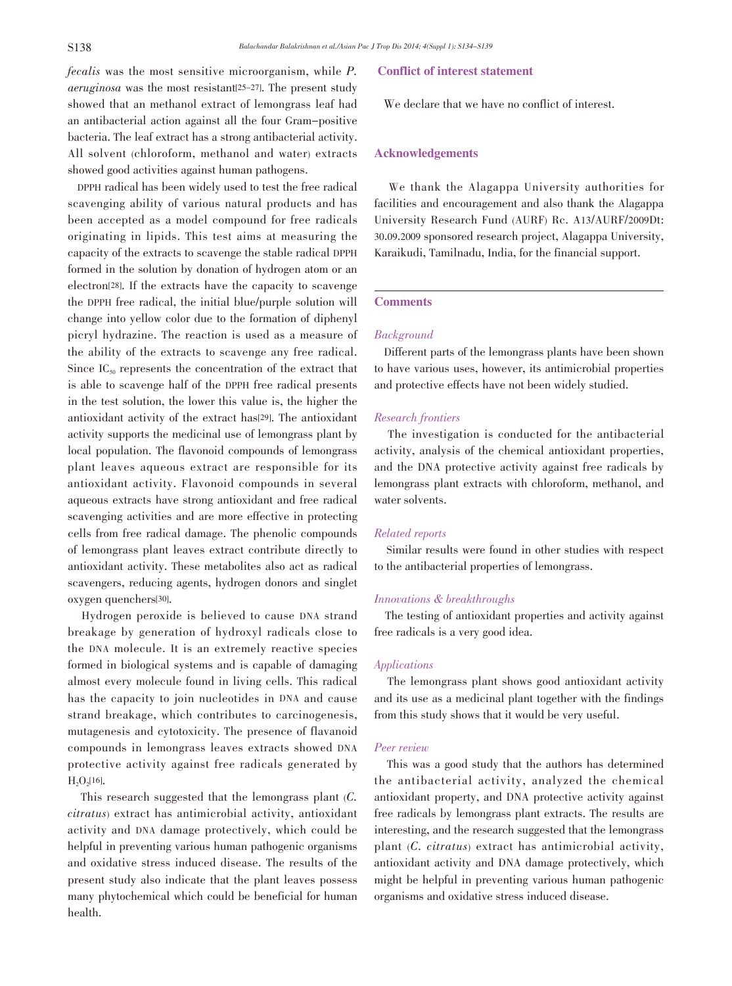fecalis was the most sensitive microorganism, while P. aeruginosa was the most resistant[25-27]. The present study showed that an methanol extract of lemongrass leaf had an antibacterial action against all the four Gram-positive bacteria. The leaf extract has a strong antibacterial activity. All solvent (chloroform, methanol and water) extracts showed good activities against human pathogens.

 DPPH radical has been widely used to test the free radical scavenging ability of various natural products and has been accepted as a model compound for free radicals originating in lipids. This test aims at measuring the capacity of the extracts to scavenge the stable radical DPPH formed in the solution by donation of hydrogen atom or an electron[28]. If the extracts have the capacity to scavenge the DPPH free radical, the initial blue/purple solution will change into yellow color due to the formation of diphenyl picryl hydrazine. The reaction is used as a measure of the ability of the extracts to scavenge any free radical. Since  $IC_{50}$  represents the concentration of the extract that is able to scavenge half of the DPPH free radical presents in the test solution, the lower this value is, the higher the antioxidant activity of the extract has[29]. The antioxidant activity supports the medicinal use of lemongrass plant by local population. The flavonoid compounds of lemongrass plant leaves aqueous extract are responsible for its antioxidant activity. Flavonoid compounds in several aqueous extracts have strong antioxidant and free radical scavenging activities and are more effective in protecting cells from free radical damage. The phenolic compounds of lemongrass plant leaves extract contribute directly to antioxidant activity. These metabolites also act as radical scavengers, reducing agents, hydrogen donors and singlet oxygen quenchers[30].

 Hydrogen peroxide is believed to cause DNA strand breakage by generation of hydroxyl radicals close to the DNA molecule. It is an extremely reactive species formed in biological systems and is capable of damaging almost every molecule found in living cells. This radical has the capacity to join nucleotides in DNA and cause strand breakage, which contributes to carcinogenesis, mutagenesis and cytotoxicity. The presence of flavanoid compounds in lemongrass leaves extracts showed DNA protective activity against free radicals generated by  $H_2O_2[16]$ .

 This research suggested that the lemongrass plant (C. citratus) extract has antimicrobial activity, antioxidant activity and DNA damage protectively, which could be helpful in preventing various human pathogenic organisms and oxidative stress induced disease. The results of the present study also indicate that the plant leaves possess many phytochemical which could be beneficial for human health.

#### Conflict of interest statement

We declare that we have no conflict of interest.

## Acknowledgements

 We thank the Alagappa University authorities for facilities and encouragement and also thank the Alagappa University Research Fund (AURF) Rc. A13/AURF/2009Dt: 30.09.2009 sponsored research project, Alagappa University, Karaikudi, Tamilnadu, India, for the financial support.

# **Comments**

#### Background

 Different parts of the lemongrass plants have been shown to have various uses, however, its antimicrobial properties and protective effects have not been widely studied.

# Research frontiers

 The investigation is conducted for the antibacterial activity, analysis of the chemical antioxidant properties, and the DNA protective activity against free radicals by lemongrass plant extracts with chloroform, methanol, and water solvents.

# Related reports

 Similar results were found in other studies with respect to the antibacterial properties of lemongrass.

#### Innovations & breakthroughs

 The testing of antioxidant properties and activity against free radicals is a very good idea.

#### Applications

 The lemongrass plant shows good antioxidant activity and its use as a medicinal plant together with the findings from this study shows that it would be very useful.

# Peer review

 This was a good study that the authors has determined the antibacterial activity, analyzed the chemical antioxidant property, and DNA protective activity against free radicals by lemongrass plant extracts. The results are interesting, and the research suggested that the lemongrass plant (C. citratus) extract has antimicrobial activity, antioxidant activity and DNA damage protectively, which might be helpful in preventing various human pathogenic organisms and oxidative stress induced disease.